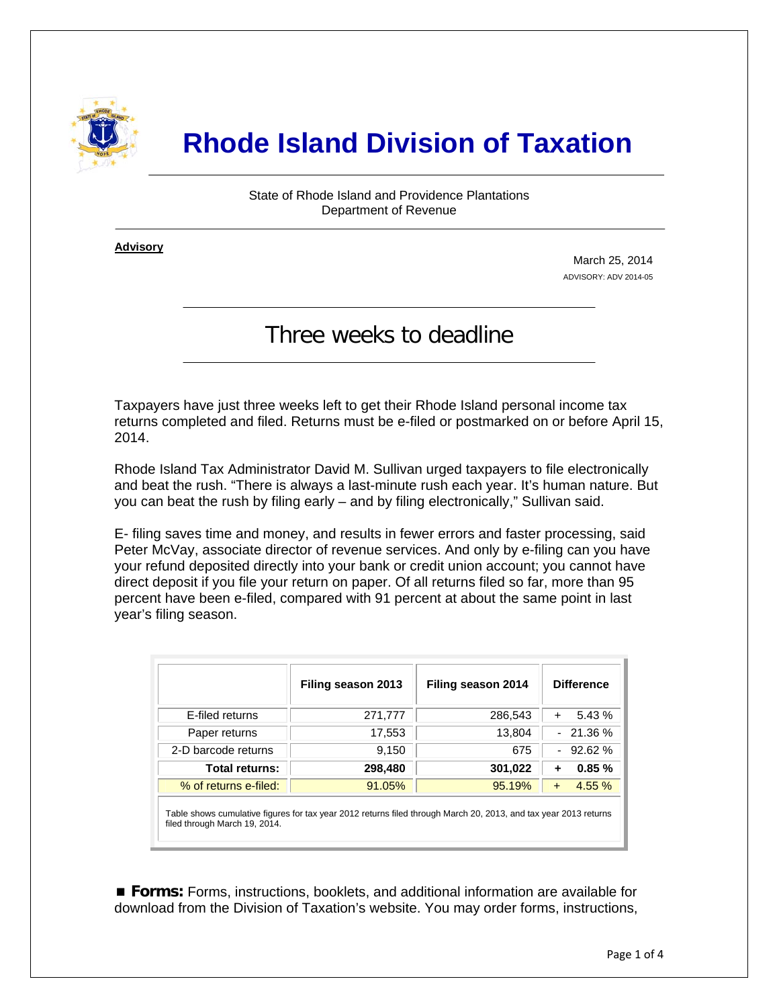

## **Rhode Island Division of Taxation**

State of Rhode Island and Providence Plantations Department of Revenue

**Advisory** ٦

i

March 25, 2014 ADVISORY: ADV 2014-05

## Three weeks to deadline

Taxpayers have just three weeks left to get their Rhode Island personal income tax returns completed and filed. Returns must be e-filed or postmarked on or before April 15, 2014.

Rhode Island Tax Administrator David M. Sullivan urged taxpayers to file electronically and beat the rush. "There is always a last-minute rush each year. It's human nature. But you can beat the rush by filing early – and by filing electronically," Sullivan said.

E- filing saves time and money, and results in fewer errors and faster processing, said Peter McVay, associate director of revenue services. And only by e-filing can you have your refund deposited directly into your bank or credit union account; you cannot have direct deposit if you file your return on paper. Of all returns filed so far, more than 95 percent have been e-filed, compared with 91 percent at about the same point in last year's filing season.

|                                                                                                                   | Filing season 2013 | Filing season 2014 | <b>Difference</b>  |  |
|-------------------------------------------------------------------------------------------------------------------|--------------------|--------------------|--------------------|--|
| E-filed returns                                                                                                   | 271,777            | 286,543            | 5.43 %<br>$+$      |  |
| Paper returns                                                                                                     | 17,553             | 13,804             | $-21.36%$          |  |
| 2-D barcode returns                                                                                               | 9,150              | 675                | $-92.62%$          |  |
| <b>Total returns:</b>                                                                                             | 298,480            | 301,022            | 0.85%              |  |
| % of returns e-filed:                                                                                             | 91.05%             | 95.19%             | 4.55%<br>$\ddot{}$ |  |
| Table shows sumulative figures for tax year 2012 returns filed through March 20, 2013, and tax year 2013 returns. |                    |                    |                    |  |

able shows cumulative figures for tax year 2012 returns filed through March 20, 2013, and tax year 2013 returns filed through March 19, 2014.

 **Forms:** Forms, instructions, booklets, and additional information are available for download from the Division of Taxation's website. You may order forms, instructions,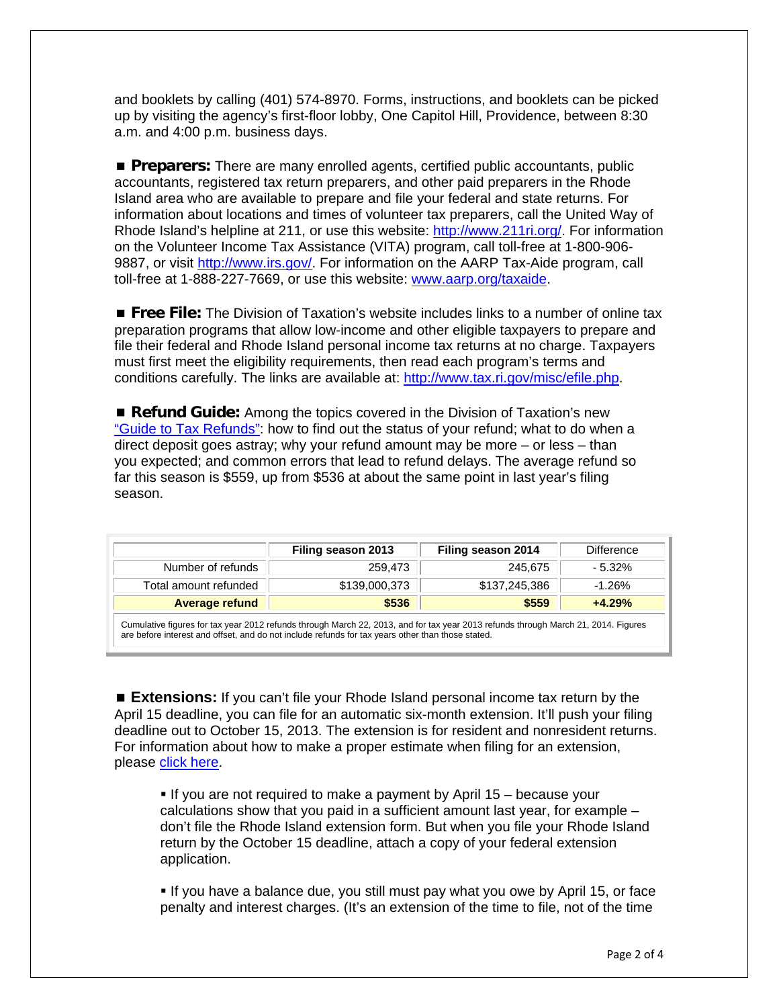and booklets by calling (401) 574-8970. Forms, instructions, and booklets can be picked up by visiting the agency's first-floor lobby, One Capitol Hill, Providence, between 8:30 a.m. and 4:00 p.m. business days.

**Preparers:** There are many enrolled agents, certified public accountants, public accountants, registered tax return preparers, and other paid preparers in the Rhode Island area who are available to prepare and file your federal and state returns. For information about locations and times of volunteer tax preparers, call the United Way of Rhode Island's helpline at 211, or use this website: [http://www.211ri.org/.](http://www.211ri.org/) For information on the Volunteer Income Tax Assistance (VITA) program, call toll-free at 1-800-906- 9887, or visit<http://www.irs.gov/>. For information on the AARP Tax-Aide program, call toll-free at 1-888-227-7669, or use this website: [www.aarp.org/taxaide.](http://www.aarp.org/taxaide)

**Free File:** The Division of Taxation's website includes links to a number of online tax preparation programs that allow low-income and other eligible taxpayers to prepare and file their federal and Rhode Island personal income tax returns at no charge. Taxpayers must first meet the eligibility requirements, then read each program's terms and conditions carefully. The links are available at: [http://www.tax.ri.gov/misc/efile.php.](http://www.tax.ri.gov/misc/efile.php)

 **Refund Guide:** Among the topics covered in the Division of Taxation's new ["Guide to Tax Refunds"](http://www.tax.ri.gov/Tax%20Website/TAX/notice/Guide%20to%20Tax%20Refunds.pdf): how to find out the status of your refund; what to do when a direct deposit goes astray; why your refund amount may be more – or less – than you expected; and common errors that lead to refund delays. The average refund so far this season is \$559, up from \$536 at about the same point in last year's filing season.

|                                                                                                                                    | Filing season 2013 | Filing season 2014 | <b>Difference</b> |  |
|------------------------------------------------------------------------------------------------------------------------------------|--------------------|--------------------|-------------------|--|
| Number of refunds                                                                                                                  | 259.473            | 245.675            | - 5.32%           |  |
| Total amount refunded                                                                                                              | \$139,000,373      | \$137,245,386      | $-1.26%$          |  |
| <b>Average refund</b>                                                                                                              | \$536              | \$559              | $+4.29%$          |  |
| Cumulative figures for tax year 2012 refunds through March 22, 2013, and for tax year 2013 refunds through March 21, 2014. Figures |                    |                    |                   |  |

Cumulative figures for tax year 2012 refunds through March 22, 2013, and for tax year 2013 refunds through March 21, 2014. Figures are before interest and offset, and do not include refunds for tax years other than those stated.

 **Extensions:** If you can't file your Rhode Island personal income tax return by the April 15 deadline, you can file for an automatic six-month extension. It'll push your filing deadline out to October 15, 2013. The extension is for resident and nonresident returns. For information about how to make a proper estimate when filing for an extension, please [click here.](http://www.tax.ri.gov/newsletter/Rhode%20Island%20Division%20of%20Taxation%20newsletter%20-%202nd%20Q%202013.pdf)

If you are not required to make a payment by April  $15$  – because your calculations show that you paid in a sufficient amount last year, for example – don't file the Rhode Island extension form. But when you file your Rhode Island return by the October 15 deadline, attach a copy of your federal extension application.

 If you have a balance due, you still must pay what you owe by April 15, or face penalty and interest charges. (It's an extension of the time to file, not of the time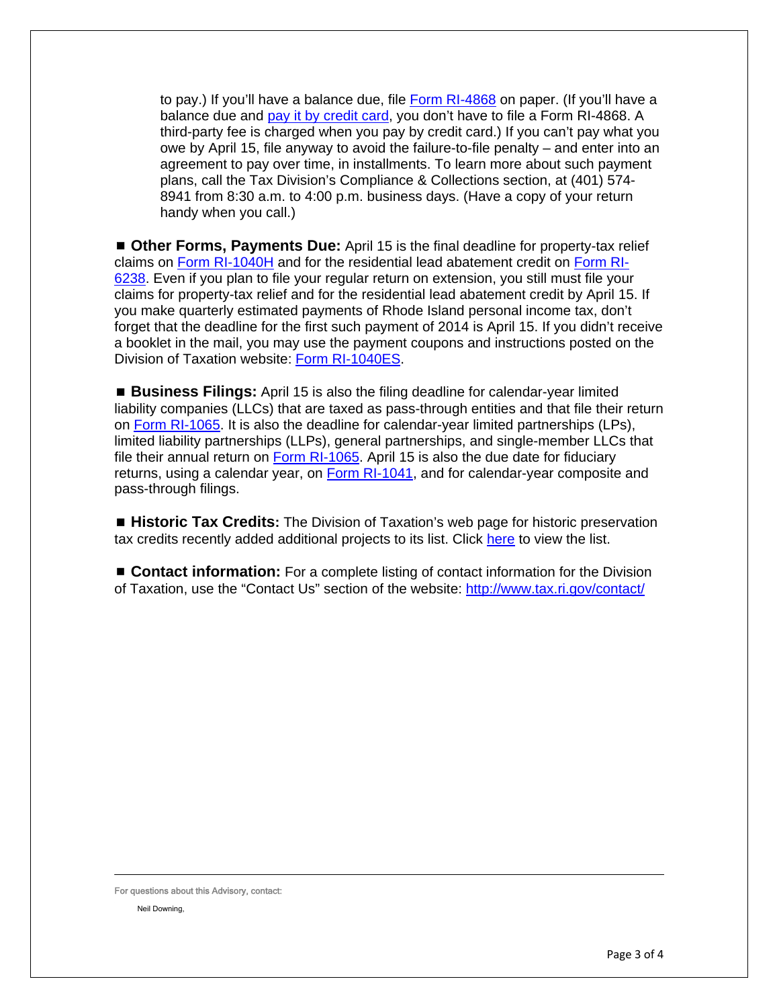to pay.) If you'll have a balance due, file [Form RI-4868](http://www.tax.ri.gov/forms/2013/Income/2013%20RI-4868_1.pdf) on paper. (If you'll have a balance due and [pay it by credit card,](http://www.tax.ri.gov/misc/creditcard.php) you don't have to file a Form RI-4868. A third-party fee is charged when you pay by credit card.) If you can't pay what you owe by April 15, file anyway to avoid the failure-to-file penalty – and enter into an agreement to pay over time, in installments. To learn more about such payment plans, call the Tax Division's Compliance & Collections section, at (401) 574- 8941 from 8:30 a.m. to 4:00 p.m. business days. (Have a copy of your return handy when you call.)

 **Other Forms, Payments Due:** April 15 is the final deadline for property-tax relief claims on [Form RI-1040H](http://www.tax.ri.gov/forms/2013/Income/Handprint/2013%201040H_BCh.pdf) and for the residential lead abatement credit on [Form RI-](http://www.tax.ri.gov/forms/2013/Credits/2013%20Lead%20Paint%20Credit.pdf)[6238](http://www.tax.ri.gov/forms/2013/Credits/2013%20Lead%20Paint%20Credit.pdf). Even if you plan to file your regular return on extension, you still must file your claims for property-tax relief and for the residential lead abatement credit by April 15. If you make quarterly estimated payments of Rhode Island personal income tax, don't forget that the deadline for the first such payment of 2014 is April 15. If you didn't receive a booklet in the mail, you may use the payment coupons and instructions posted on the Division of Taxation website: [Form RI-1040ES.](http://www.tax.ri.gov/forms/2014/Income/2014%20RI-1040ES%20fweb.pdf)

 **Business Filings:** April 15 is also the filing deadline for calendar-year limited liability companies (LLCs) that are taxed as pass-through entities and that file their return on [Form RI-1065](http://www.tax.ri.gov/forms/2013/Corp/2013%20RI-1065.pdf). It is also the deadline for calendar-year limited partnerships (LPs), limited liability partnerships (LLPs), general partnerships, and single-member LLCs that file their annual return on [Form RI-1065.](http://www.tax.ri.gov/forms/2013/Corp/2013%20RI-1065.pdf) April 15 is also the due date for fiduciary returns, using a calendar year, on [Form RI-1041,](http://www.tax.ri.gov/forms/2013/Fiduciary/2013%201041%20Return%2012312013.pdf) and for calendar-year composite and pass-through filings.

 **Historic Tax Credits:** The Division of Taxation's web page for historic preservation tax credits recently added additional projects to its list. Click [here](http://www.tax.ri.gov/taxcreditreports/historictax2013.php) to view the list.

■ **Contact information:** For a complete listing of contact information for the Division of Taxation, use the "Contact Us" section of the website:<http://www.tax.ri.gov/contact/>

For questions about this Advisory, contact:

Neil Downing,